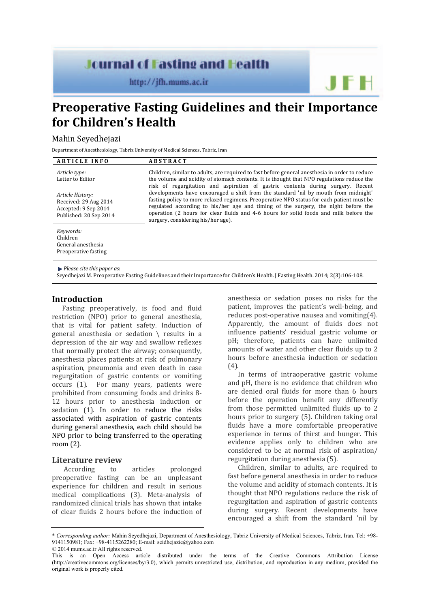# **Journal of Fasting and Health**

http://jfh.mums.ac.ir

**Preoperative Fasting Guidelines and their Importance for Children's Health** 

## Mahin Seyedhejazi

Department of Anesthesiology, Tabriz University of Medical Sciences, Tabriz, Iran

| <b>ARTICLE INFO</b>                                                                         | <b>ABSTRACT</b>                                                                                                                                                                                                                                                                                                                                                                                                                                                                                                                                                                                                                                                                         |
|---------------------------------------------------------------------------------------------|-----------------------------------------------------------------------------------------------------------------------------------------------------------------------------------------------------------------------------------------------------------------------------------------------------------------------------------------------------------------------------------------------------------------------------------------------------------------------------------------------------------------------------------------------------------------------------------------------------------------------------------------------------------------------------------------|
| Article type:<br>Letter to Editor                                                           | Children, similar to adults, are required to fast before general anesthesia in order to reduce<br>the volume and acidity of stomach contents. It is thought that NPO regulations reduce the<br>risk of regurgitation and aspiration of gastric contents during surgery. Recent<br>developments have encouraged a shift from the standard 'nil by mouth from midnight'<br>fasting policy to more relaxed regimens. Preoperative NPO status for each patient must be<br>regulated according to his/her age and timing of the surgery, the night before the<br>operation (2 hours for clear fluids and 4-6 hours for solid foods and milk before the<br>surgery, considering his/her age). |
| Article History:<br>Received: 29 Aug 2014<br>Accepted: 9 Sep 2014<br>Published: 20 Sep 2014 |                                                                                                                                                                                                                                                                                                                                                                                                                                                                                                                                                                                                                                                                                         |
| Keywords:<br>Children<br>General anesthesia<br>Preoperative fasting                         |                                                                                                                                                                                                                                                                                                                                                                                                                                                                                                                                                                                                                                                                                         |

*Please cite this paper as*:

Seyedhejazi M. Preoperative Fasting Guidelines and their Importance for Children's Health. J Fasting Health. 2014; 2(3):106-108.

### **Introduction**

Fasting preoperatively, is food and fluid restriction (NPO) prior to general anesthesia, that is vital for patient safety. Induction of general anesthesia or sedation \ results in a depression of the air way and swallow reflexes that normally protect the airway; consequently, anesthesia places patients at risk of pulmonary aspiration, pneumonia and even death in case regurgitation of gastric contents or vomiting occurs (1). For many years, patients were prohibited from consuming foods and drinks 8- 12 hours prior to anesthesia induction or sedation (1). In order to reduce the risks associated with aspiration of gastric contents during general anesthesia, each child should be NPO prior to being transferred to the operating room (2).

#### **Literature review**

 According to articles prolonged preoperative fasting can be an unpleasant experience for children and result in serious medical complications (3). Meta-analysis of randomized clinical trials has shown that intake of clear fluids 2 hours before the induction of

anesthesia or sedation poses no risks for the patient, improves the patient's well-being, and reduces post-operative nausea and vomiting(4). Apparently, the amount of fluids does not influence patients' residual gastric volume or pH; therefore, patients can have unlimited amounts of water and other clear fluids up to 2 hours before anesthesia induction or sedation (4).

In terms of intraoperative gastric volume and pH, there is no evidence that children who are denied oral fluids for more than 6 hours before the operation benefit any differently from those permitted unlimited fluids up to 2 hours prior to surgery (5). Children taking oral fluids have a more comfortable preoperative experience in terms of thirst and hunger. This evidence applies only to children who are considered to be at normal risk of aspiration/ regurgitation during anesthesia (5).

Children, similar to adults, are required to fast before general anesthesia in order to reduce the volume and acidity of stomach contents. It is thought that NPO regulations reduce the risk of regurgitation and aspiration of gastric contents during surgery. Recent developments have encouraged a shift from the standard 'nil by

<sup>\*</sup> *Corresponding author:* Mahin Seyedhejazi, Department of Anesthesiology, Tabriz University of Medical Sciences, Tabriz, Iran. Tel: +98- 9141150981; Fax: +98-4115262280; E-mail: seidhejazie@yahoo.com © 2014 mums.ac.ir All rights reserved.

This is an Open Access article distributed under the terms of the Creative Commons Attribution License (http://creativecommons.org/licenses/by/3.0), which permits unrestricted use, distribution, and reproduction in any medium, provided the original work is properly cited.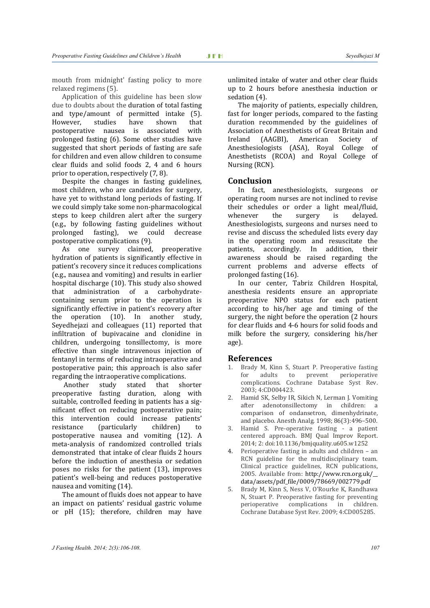mouth from midnight' fasting policy to more relaxed regimens (5).

Application of this guideline has been slow due to doubts about the duration of total fasting and type/amount of permitted intake (5). However, studies have shown that postoperative nausea is associated with prolonged fasting (6). Some other studies have suggested that short periods of fasting are safe for children and even allow children to consume clear fluids and solid foods 2, 4 and 6 hours prior to operation, respectively (7, 8).

Despite the changes in fasting guidelines, most children, who are candidates for surgery, have yet to withstand long periods of fasting. If we could simply take some non-pharmacological steps to keep children alert after the surgery (e.g., by following fasting guidelines without prolonged fasting), we could decrease postoperative complications (9).

As one survey claimed, preoperative hydration of patients is significantly effective in patient's recovery since it reduces complications (e.g., nausea and vomiting) and results in earlier hospital discharge (10). This study also showed that administration of a carbohydratecontaining serum prior to the operation is significantly effective in patient's recovery after the operation (10). In another study, Seyedhejazi and colleagues (11) reported that infiltration of bupivacaine and clonidine in children, undergoing tonsillectomy, is more effective than single intravenous injection of fentanyl in terms of reducing intraoperative and postoperative pain; this approach is also safer regarding the intraoperative complications.

 Another study stated that shorter preoperative fasting duration, along with suitable, controlled feeding in patients has a significant effect on reducing postoperative pain; this intervention could increase patients' resistance (particularly children) to postoperative nausea and vomiting (12). A meta-analysis of randomized controlled trials demonstrated that intake of clear fluids 2 hours before the induction of anesthesia or sedation poses no risks for the patient (13), improves patient's well-being and reduces postoperative nausea and vomiting (14).

The amount of fluids does not appear to have an impact on patients' residual gastric volume or pH (15); therefore, children may have unlimited intake of water and other clear fluids up to 2 hours before anesthesia induction or sedation (4).

The majority of patients, especially children, fast for longer periods, compared to the fasting duration recommended by the guidelines of Association of Anesthetists of Great Britain and Ireland (AAGBI), American Society of Anesthesiologists (ASA), Royal College of Anesthetists (RCOA) and Royal College of Nursing (RCN).

#### **Conclusion**

In fact, anesthesiologists, surgeons or operating room nurses are not inclined to revise their schedules or order a light meal/fluid, whenever the surgery is delayed. Anesthesiologists, surgeons and nurses need to revise and discuss the scheduled lists every day in the operating room and resuscitate the patients, accordingly. In addition, their awareness should be raised regarding the current problems and adverse effects of prolonged fasting (16).

In our center, Tabriz Children Hospital, anesthesia residents ensure an appropriate preoperative NPO status for each patient according to his/her age and timing of the surgery, the night before the operation (2 hours for clear fluids and 4-6 hours for solid foods and milk before the surgery, considering his/her age).

#### **References**

- 1. Brady M, Kinn S, Stuart P. Preoperative fasting for adults to prevent perioperative complications. Cochrane Database Syst Rev. 2003; 4:CD004423.
- 2. Hamid SK, Selby IR, Sikich N, Lerman J. Vomiting after adenotonsillectomy in children: a comparison of ondansetron, dimenhydrinate, and placebo. Anesth Analg. 1998; 86(3):496–500.
- 3. Hamid S. Pre-operative fasting a patient centered approach. BMJ Qual Improv Report. 2014; 2: doi:10.1136/bmjquality.u605.w1252
- 4. Perioperative fasting in adults and children an RCN guideline for the multidisciplinary team. Clinical practice guidelines, RCN publications, 2005. Available from: http://www.rcn.org.uk/\_\_ data/assets/pdf\_file/0009/78669/002779.pdf
- 5. Brady M, Kinn S, Ness V, O'Rourke K, Randhawa N, Stuart P. Preoperative fasting for preventing perioperative complications in children. Cochrane Database Syst Rev. 2009; 4:CD005285.